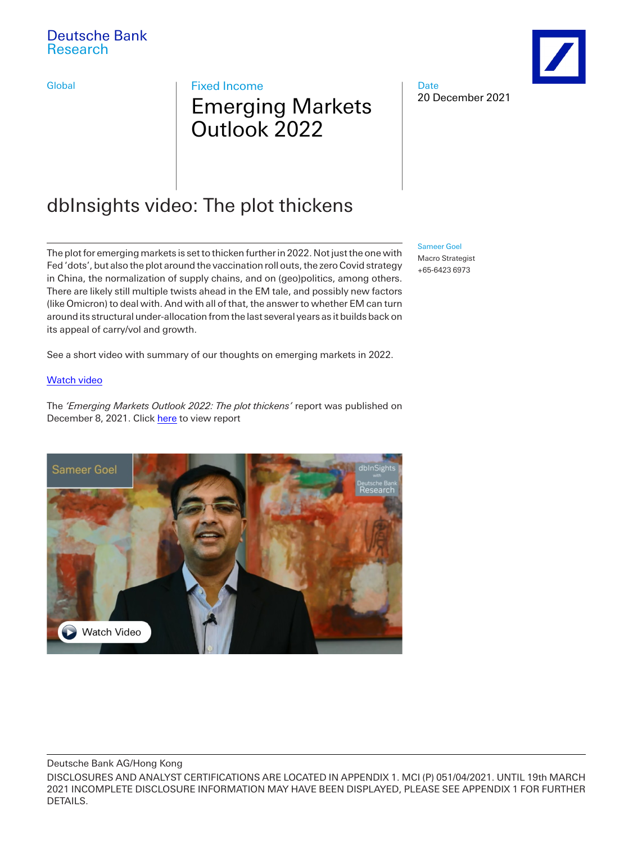Global **Fixed Income** 

# Emerging Markets Outlook 2022

# dbInsights video: The plot thickens

The plot for emerging markets is set to thicken further in 2022. Not just the one with Fed 'dots', but also the plot around the vaccination roll outs, the zero Covid strategy in China, the normalization of supply chains, and on (geo)politics, among others. There are likely still multiple twists ahead in the EM tale, and possibly new factors (like Omicron) to deal with. And with all of that, the answer to whether EM can turn around its structural under-allocation from the last several years as it builds back on its appeal of carry/vol and growth.

See a short video with summary of our thoughts on emerging markets in 2022.

#### [Watch video](https://www.dbresearch.com/REPO/RPS_EN-PROD/PROD0000000000521320.xhtml)

The *'Emerging Markets Outlook 2022: The plot thickens'* report was published on December 8, 2021. Click [here](https://research.db.com/Research/Article?rid=GDPBD00000342707&kid=RP0001&documentType=R&wt_cc1=IND-3040823-0000) to view report



Deutsche Bank AG/Hong Kong

20 December 2021

[Sameer Goel](mailto:sameer.goel@db.com)

Date

Macro Strategist +65-6423 6973

DISCLOSURES AND ANALYST CERTIFICATIONS ARE LOCATED IN APPENDIX 1. MCI (P) 051/04/2021. UNTIL 19th MARCH 2021 INCOMPLETE DISCLOSURE INFORMATION MAY HAVE BEEN DISPLAYED, PLEASE SEE APPENDIX 1 FOR FURTHER DETAILS.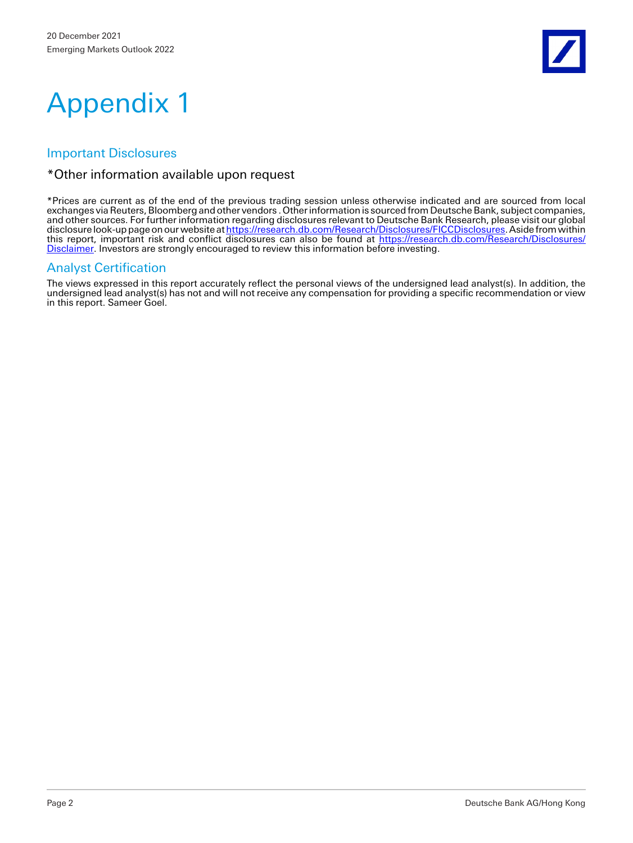

# Appendix 1

## Important Disclosures

#### \*Other information available upon request

\*Prices are current as of the end of the previous trading session unless otherwise indicated and are sourced from local exchanges via Reuters, Bloomberg and other vendors . Other information is sourced from Deutsche Bank, subject companies, and other sources. For further information regarding disclosures relevant to Deutsche Bank Research, please visit our global disclosure look-up page on our website a[t https://research.db.com/Research/Disclosures/FICCDisclosures.](https://research.db.com/Research/Disclosures/FICCDisclosures) Aside from within this report, important risk and conflict disclosures can also be found at [https://research.db.com/Research/Disclosures/](https://research.db.com/Research/Disclosures/Disclaimer) [Disclaimer.](https://research.db.com/Research/Disclosures/Disclaimer) Investors are strongly encouraged to review this information before investing.

### Analyst Certification

The views expressed in this report accurately reflect the personal views of the undersigned lead analyst(s). In addition, the undersigned lead analyst(s) has not and will not receive any compensation for providing a specific recommendation or view in this report. Sameer Goel.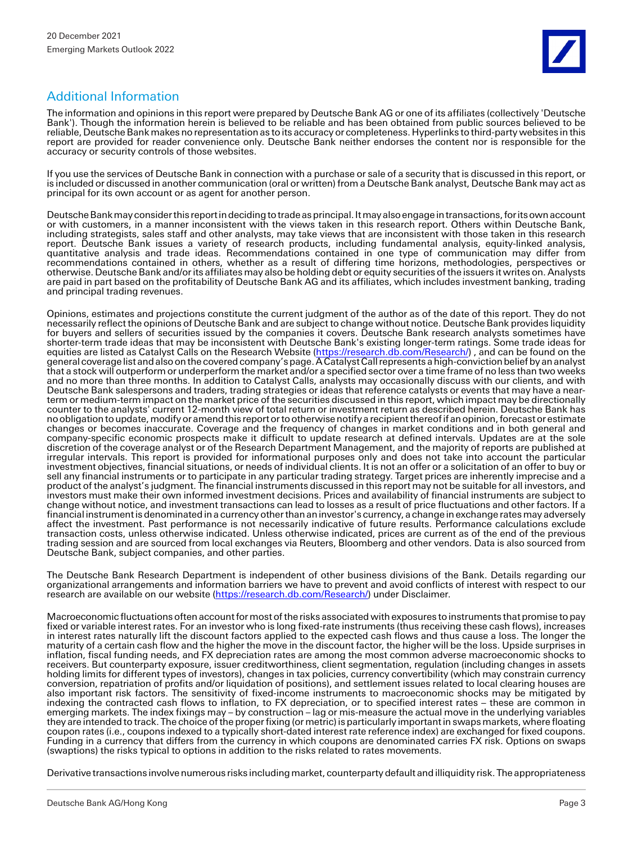## Additional Information

The information and opinions in this report were prepared by Deutsche Bank AG or one of its affiliates (collectively 'Deutsche Bank'). Though the information herein is believed to be reliable and has been obtained from public sources believed to be reliable, Deutsche Bank makes no representation as to its accuracy or completeness. Hyperlinks to third-party websites in this report are provided for reader convenience only. Deutsche Bank neither endorses the content nor is responsible for the accuracy or security controls of those websites.

If you use the services of Deutsche Bank in connection with a purchase or sale of a security that is discussed in this report, or is included or discussed in another communication (oral or written) from a Deutsche Bank analyst, Deutsche Bank may act as principal for its own account or as agent for another person.

Deutsche Bank may consider this report in deciding to trade as principal. It may also engage in transactions, for its own account or with customers, in a manner inconsistent with the views taken in this research report. Others within Deutsche Bank, including strategists, sales staff and other analysts, may take views that are inconsistent with those taken in this research report. Deutsche Bank issues a variety of research products, including fundamental analysis, equity-linked analysis, quantitative analysis and trade ideas. Recommendations contained in one type of communication may differ from recommendations contained in others, whether as a result of differing time horizons, methodologies, perspectives or otherwise. Deutsche Bank and/or its affiliates may also be holding debt or equity securities of the issuers it writes on. Analysts are paid in part based on the profitability of Deutsche Bank AG and its affiliates, which includes investment banking, trading and principal trading revenues.

Opinions, estimates and projections constitute the current judgment of the author as of the date of this report. They do not necessarily reflect the opinions of Deutsche Bank and are subject to change without notice. Deutsche Bank provides liquidity for buyers and sellers of securities issued by the companies it covers. Deutsche Bank research analysts sometimes have shorter-term trade ideas that may be inconsistent with Deutsche Bank's existing longer-term ratings. Some trade ideas for equities are listed as Catalyst Calls on the Research Website [\(https://research.db.com/Research/\)](https://research.db.com/Research/), and can be found on the general coverage list and also on the covered company's page. A Catalyst Call represents a high-conviction belief by an analyst that a stock will outperform or underperform the market and/or a specified sector over a time frame of no less than two weeks and no more than three months. In addition to Catalyst Calls, analysts may occasionally discuss with our clients, and with Deutsche Bank salespersons and traders, trading strategies or ideas that reference catalysts or events that may have a nearterm or medium-term impact on the market price of the securities discussed in this report, which impact may be directionally counter to the analysts' current 12-month view of total return or investment return as described herein. Deutsche Bank has no obligation to update, modify or amend this report or to otherwise notify a recipient thereof if an opinion, forecast or estimate changes or becomes inaccurate. Coverage and the frequency of changes in market conditions and in both general and company-specific economic prospects make it difficult to update research at defined intervals. Updates are at the sole discretion of the coverage analyst or of the Research Department Management, and the majority of reports are published at irregular intervals. This report is provided for informational purposes only and does not take into account the particular investment objectives, financial situations, or needs of individual clients. It is not an offer or a solicitation of an offer to buy or sell any financial instruments or to participate in any particular trading strategy. Target prices are inherently imprecise and a product of the analyst's judgment. The financial instruments discussed in this report may not be suitable for all investors, and investors must make their own informed investment decisions. Prices and availability of financial instruments are subject to change without notice, and investment transactions can lead to losses as a result of price fluctuations and other factors. If a financial instrument is denominated in a currency other than an investor's currency, a change in exchange rates may adversely affect the investment. Past performance is not necessarily indicative of future results. Performance calculations exclude transaction costs, unless otherwise indicated. Unless otherwise indicated, prices are current as of the end of the previous trading session and are sourced from local exchanges via Reuters, Bloomberg and other vendors. Data is also sourced from Deutsche Bank, subject companies, and other parties.

The Deutsche Bank Research Department is independent of other business divisions of the Bank. Details regarding our organizational arrangements and information barriers we have to prevent and avoid conflicts of interest with respect to our research are available on our website [\(https://research.db.com/Research/\)](https://research.db.com/Research/) under Disclaimer.

Macroeconomic fluctuations often account for most of the risks associated with exposures to instruments that promise to pay fixed or variable interest rates. For an investor who is long fixed-rate instruments (thus receiving these cash flows), increases in interest rates naturally lift the discount factors applied to the expected cash flows and thus cause a loss. The longer the maturity of a certain cash flow and the higher the move in the discount factor, the higher will be the loss. Upside surprises in inflation, fiscal funding needs, and FX depreciation rates are among the most common adverse macroeconomic shocks to receivers. But counterparty exposure, issuer creditworthiness, client segmentation, regulation (including changes in assets holding limits for different types of investors), changes in tax policies, currency convertibility (which may constrain currency conversion, repatriation of profits and/or liquidation of positions), and settlement issues related to local clearing houses are also important risk factors. The sensitivity of fixed-income instruments to macroeconomic shocks may be mitigated by indexing the contracted cash flows to inflation, to FX depreciation, or to specified interest rates – these are common in emerging markets. The index fixings may – by construction – lag or mis-measure the actual move in the underlying variables they are intended to track. The choice of the proper fixing (or metric) is particularly important in swaps markets, where floating coupon rates (i.e., coupons indexed to a typically short-dated interest rate reference index) are exchanged for fixed coupons. Funding in a currency that differs from the currency in which coupons are denominated carries FX risk. Options on swaps (swaptions) the risks typical to options in addition to the risks related to rates movements.

Derivative transactions involve numerous risks including market, counterparty default and illiquidity risk. The appropriateness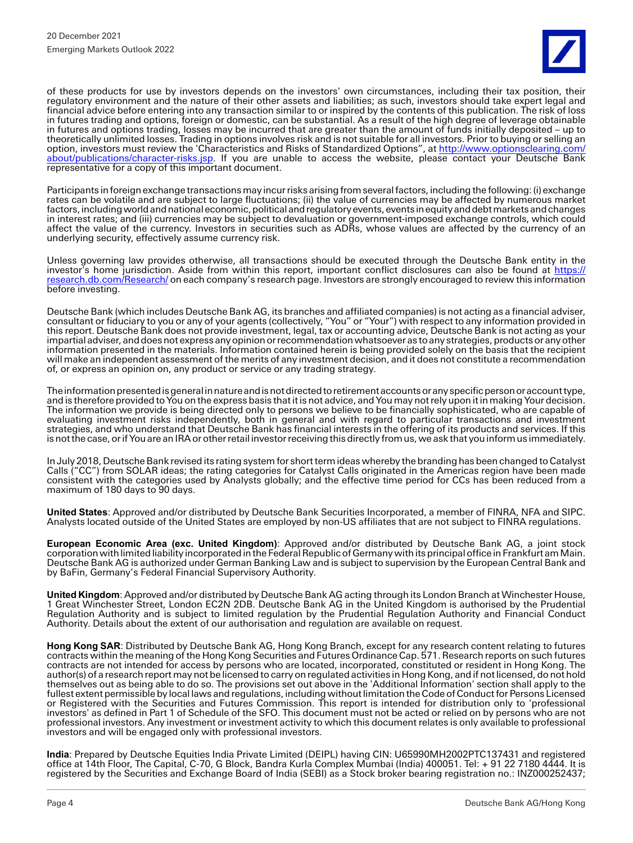of these products for use by investors depends on the investors' own circumstances, including their tax position, their regulatory environment and the nature of their other assets and liabilities; as such, investors should take expert legal and financial advice before entering into any transaction similar to or inspired by the contents of this publication. The risk of loss in futures trading and options, foreign or domestic, can be substantial. As a result of the high degree of leverage obtainable in futures and options trading, losses may be incurred that are greater than the amount of funds initially deposited – up to theoretically unlimited losses. Trading in options involves risk and is not suitable for all investors. Prior to buying or selling an option, investors must review the 'Characteristics and Risks of Standardized Options", at [http://www.optionsclearing.com/](http://www.optionsclearing.com/about/publications/character-risks.jsp) [about/publications/character-risks.jsp.](http://www.optionsclearing.com/about/publications/character-risks.jsp) If you are unable to access the website, please contact your Deutsche Bank representative for a copy of this important document.

Participants in foreign exchange transactions may incur risks arising from several factors, including the following: (i) exchange rates can be volatile and are subject to large fluctuations; (ii) the value of currencies may be affected by numerous market factors, including world and national economic, political and regulatory events, events in equity and debt markets and changes in interest rates; and (iii) currencies may be subject to devaluation or government-imposed exchange controls, which could affect the value of the currency. Investors in securities such as ADRs, whose values are affected by the currency of an underlying security, effectively assume currency risk.

Unless governing law provides otherwise, all transactions should be executed through the Deutsche Bank entity in the investor's home jurisdiction. Aside from within this report, important conflict disclosures can also be found at [https://](https://research.db.com/Research/) [research.db.com/Research/](https://research.db.com/Research/) on each company's research page. Investors are strongly encouraged to review this information before investing.

Deutsche Bank (which includes Deutsche Bank AG, its branches and affiliated companies) is not acting as a financial adviser, consultant or fiduciary to you or any of your agents (collectively, "You" or "Your") with respect to any information provided in this report. Deutsche Bank does not provide investment, legal, tax or accounting advice, Deutsche Bank is not acting as your impartial adviser, and does not express any opinion or recommendation whatsoever as to any strategies, products or any other information presented in the materials. Information contained herein is being provided solely on the basis that the recipient will make an independent assessment of the merits of any investment decision, and it does not constitute a recommendation of, or express an opinion on, any product or service or any trading strategy.

The information presented is general in nature and is not directed to retirement accounts or any specific person or account type, and is therefore provided to You on the express basis that it is not advice, and You may not rely upon it in making Your decision. The information we provide is being directed only to persons we believe to be financially sophisticated, who are capable of evaluating investment risks independently, both in general and with regard to particular transactions and investment strategies, and who understand that Deutsche Bank has financial interests in the offering of its products and services. If this is not the case, or if You are an IRA or other retail investor receiving this directly from us, we ask that you inform us immediately.

In July 2018, Deutsche Bank revised its rating system for short term ideas whereby the branding has been changed to Catalyst Calls ("CC") from SOLAR ideas; the rating categories for Catalyst Calls originated in the Americas region have been made consistent with the categories used by Analysts globally; and the effective time period for CCs has been reduced from a maximum of 180 days to 90 days.

**United States**: Approved and/or distributed by Deutsche Bank Securities Incorporated, a member of FINRA, NFA and SIPC. Analysts located outside of the United States are employed by non-US affiliates that are not subject to FINRA regulations.

**European Economic Area (exc. United Kingdom)**: Approved and/or distributed by Deutsche Bank AG, a joint stock corporation with limited liability incorporated in the Federal Republic of Germany with its principal office in Frankfurt am Main. Deutsche Bank AG is authorized under German Banking Law and is subject to supervision by the European Central Bank and by BaFin, Germany's Federal Financial Supervisory Authority.

**United Kingdom**: Approved and/or distributed by Deutsche Bank AG acting through its London Branch at Winchester House, 1 Great Winchester Street, London EC2N 2DB. Deutsche Bank AG in the United Kingdom is authorised by the Prudential Regulation Authority and is subject to limited regulation by the Prudential Regulation Authority and Financial Conduct Authority. Details about the extent of our authorisation and regulation are available on request.

**Hong Kong SAR**: Distributed by Deutsche Bank AG, Hong Kong Branch, except for any research content relating to futures contracts within the meaning of the Hong Kong Securities and Futures Ordinance Cap. 571. Research reports on such futures contracts are not intended for access by persons who are located, incorporated, constituted or resident in Hong Kong. The author(s) of a research report may not be licensed to carry on regulated activities in Hong Kong, and if not licensed, do not hold themselves out as being able to do so. The provisions set out above in the 'Additional Information' section shall apply to the fullest extent permissible by local laws and regulations, including without limitation the Code of Conduct for Persons Licensed or Registered with the Securities and Futures Commission. This report is intended for distribution only to 'professional investors' as defined in Part 1 of Schedule of the SFO. This document must not be acted or relied on by persons who are not professional investors. Any investment or investment activity to which this document relates is only available to professional investors and will be engaged only with professional investors.

**India**: Prepared by Deutsche Equities India Private Limited (DEIPL) having CIN: U65990MH2002PTC137431 and registered office at 14th Floor, The Capital, C-70, G Block, Bandra Kurla Complex Mumbai (India) 400051. Tel: + 91 22 7180 4444. It is registered by the Securities and Exchange Board of India (SEBI) as a Stock broker bearing registration no.: INZ000252437;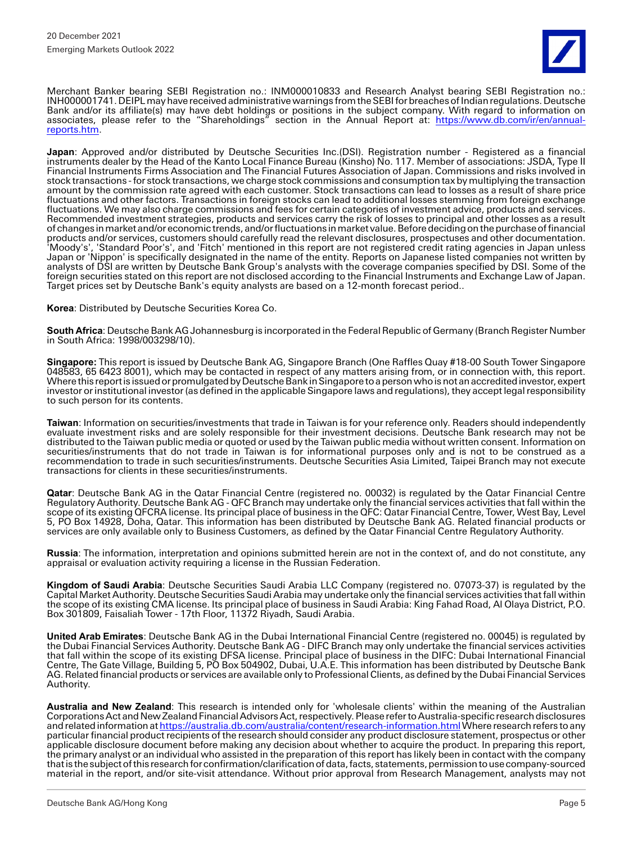Merchant Banker bearing SEBI Registration no.: INM000010833 and Research Analyst bearing SEBI Registration no.: INH000001741. DEIPL may have received administrative warnings from the SEBI for breaches of Indian regulations. Deutsche Bank and/or its affiliate(s) may have debt holdings or positions in the subject company. With regard to information on associates, please refer to the "Shareholdings" section in the Annual Report at: <u>https://www.db.com/ir/en/annual-</u> [reports.htm.](https://www.db.com/ir/en/annual-reports.htm)

**Japan**: Approved and/or distributed by Deutsche Securities Inc.(DSI). Registration number - Registered as a financial instruments dealer by the Head of the Kanto Local Finance Bureau (Kinsho) No. 117. Member of associations: JSDA, Type II Financial Instruments Firms Association and The Financial Futures Association of Japan. Commissions and risks involved in stock transactions - for stock transactions, we charge stock commissions and consumption tax by multiplying the transaction amount by the commission rate agreed with each customer. Stock transactions can lead to losses as a result of share price fluctuations and other factors. Transactions in foreign stocks can lead to additional losses stemming from foreign exchange fluctuations. We may also charge commissions and fees for certain categories of investment advice, products and services. Recommended investment strategies, products and services carry the risk of losses to principal and other losses as a result of changes in market and/or economic trends, and/or fluctuations in market value. Before deciding on the purchase of financial products and/or services, customers should carefully read the relevant disclosures, prospectuses and other documentation. 'Moody's', 'Standard Poor's', and 'Fitch' mentioned in this report are not registered credit rating agencies in Japan unless Japan or 'Nippon' is specifically designated in the name of the entity. Reports on Japanese listed companies not written by analysts of DSI are written by Deutsche Bank Group's analysts with the coverage companies specified by DSI. Some of the foreign securities stated on this report are not disclosed according to the Financial Instruments and Exchange Law of Japan. Target prices set by Deutsche Bank's equity analysts are based on a 12-month forecast period..

**Korea**: Distributed by Deutsche Securities Korea Co.

**South Africa**: Deutsche Bank AG Johannesburg is incorporated in the Federal Republic of Germany (Branch Register Number in South Africa: 1998/003298/10).

**Singapore:** This report is issued by Deutsche Bank AG, Singapore Branch (One Raffles Quay #18-00 South Tower Singapore 048583, 65 6423 8001), which may be contacted in respect of any matters arising from, or in connection with, this report. Where this report is issued or promulgated by Deutsche Bank in Singapore to a person who is not an accredited investor, expert investor or institutional investor (as defined in the applicable Singapore laws and regulations), they accept legal responsibility to such person for its contents.

**Taiwan**: Information on securities/investments that trade in Taiwan is for your reference only. Readers should independently evaluate investment risks and are solely responsible for their investment decisions. Deutsche Bank research may not be distributed to the Taiwan public media or quoted or used by the Taiwan public media without written consent. Information on securities/instruments that do not trade in Taiwan is for informational purposes only and is not to be construed as a recommendation to trade in such securities/instruments. Deutsche Securities Asia Limited, Taipei Branch may not execute transactions for clients in these securities/instruments.

**Qatar**: Deutsche Bank AG in the Qatar Financial Centre (registered no. 00032) is regulated by the Qatar Financial Centre Regulatory Authority. Deutsche Bank AG - QFC Branch may undertake only the financial services activities that fall within the scope of its existing QFCRA license. Its principal place of business in the QFC: Qatar Financial Centre, Tower, West Bay, Level 5, PO Box 14928, Doha, Qatar. This information has been distributed by Deutsche Bank AG. Related financial products or services are only available only to Business Customers, as defined by the Qatar Financial Centre Regulatory Authority.

**Russia**: The information, interpretation and opinions submitted herein are not in the context of, and do not constitute, any appraisal or evaluation activity requiring a license in the Russian Federation.

**Kingdom of Saudi Arabia**: Deutsche Securities Saudi Arabia LLC Company (registered no. 07073-37) is regulated by the Capital Market Authority. Deutsche Securities Saudi Arabia may undertake only the financial services activities that fall within the scope of its existing CMA license. Its principal place of business in Saudi Arabia: King Fahad Road, Al Olaya District, P.O. Box 301809, Faisaliah Tower - 17th Floor, 11372 Riyadh, Saudi Arabia.

**United Arab Emirates**: Deutsche Bank AG in the Dubai International Financial Centre (registered no. 00045) is regulated by the Dubai Financial Services Authority. Deutsche Bank AG - DIFC Branch may only undertake the financial services activities that fall within the scope of its existing DFSA license. Principal place of business in the DIFC: Dubai International Financial Centre, The Gate Village, Building 5, PO Box 504902, Dubai, U.A.E. This information has been distributed by Deutsche Bank AG. Related financial products or services are available only to Professional Clients, as defined by the Dubai Financial Services Authority.

**Australia and New Zealand**: This research is intended only for 'wholesale clients' within the meaning of the Australian Corporations Act and New Zealand Financial Advisors Act, respectively. Please refer to Australia-specific research disclosures and related information a[t https://australia.db.com/australia/content/research-information.html W](https://australia.db.com/australia/content/research-information.html)here research refers to any particular financial product recipients of the research should consider any product disclosure statement, prospectus or other applicable disclosure document before making any decision about whether to acquire the product. In preparing this report, the primary analyst or an individual who assisted in the preparation of this report has likely been in contact with the company that is the subject of this research for confirmation/clarification of data, facts, statements, permission to use company-sourced material in the report, and/or site-visit attendance. Without prior approval from Research Management, analysts may not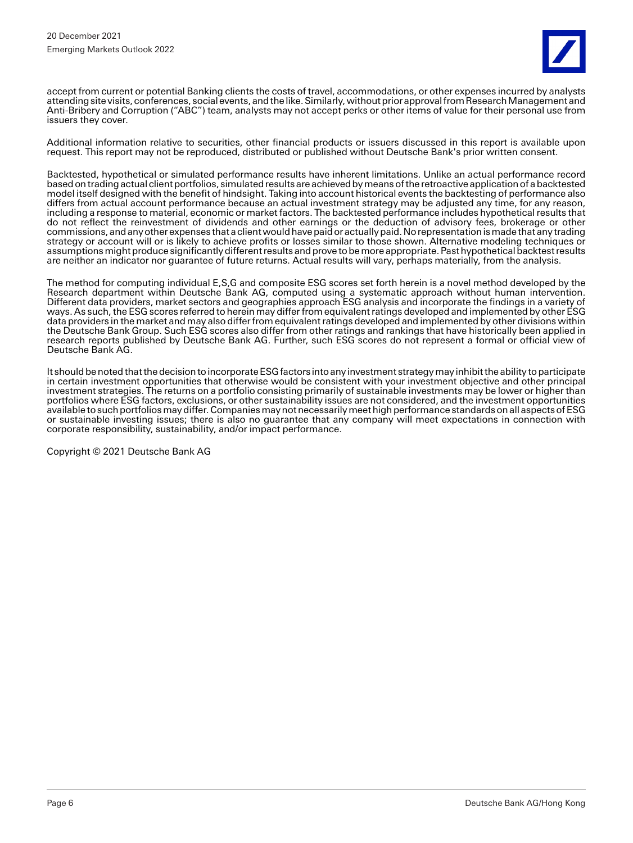accept from current or potential Banking clients the costs of travel, accommodations, or other expenses incurred by analysts attending site visits, conferences, social events, and the like. Similarly, without prior approval from Research Management and Anti-Bribery and Corruption ("ABC") team, analysts may not accept perks or other items of value for their personal use from issuers they cover.

Additional information relative to securities, other financial products or issuers discussed in this report is available upon request. This report may not be reproduced, distributed or published without Deutsche Bank's prior written consent.

Backtested, hypothetical or simulated performance results have inherent limitations. Unlike an actual performance record based on trading actual client portfolios, simulated results are achieved by means of the retroactive application of a backtested model itself designed with the benefit of hindsight. Taking into account historical events the backtesting of performance also differs from actual account performance because an actual investment strategy may be adjusted any time, for any reason, including a response to material, economic or market factors. The backtested performance includes hypothetical results that do not reflect the reinvestment of dividends and other earnings or the deduction of advisory fees, brokerage or other commissions, and any other expenses that a client would have paid or actually paid. No representation is made that any trading strategy or account will or is likely to achieve profits or losses similar to those shown. Alternative modeling techniques or assumptions might produce significantly different results and prove to be more appropriate. Past hypothetical backtest results are neither an indicator nor guarantee of future returns. Actual results will vary, perhaps materially, from the analysis.

The method for computing individual E,S,G and composite ESG scores set forth herein is a novel method developed by the Research department within Deutsche Bank AG, computed using a systematic approach without human intervention. Different data providers, market sectors and geographies approach ESG analysis and incorporate the findings in a variety of ways. As such, the ESG scores referred to herein may differ from equivalent ratings developed and implemented by other ESG data providers in the market and may also differ from equivalent ratings developed and implemented by other divisions within the Deutsche Bank Group. Such ESG scores also differ from other ratings and rankings that have historically been applied in research reports published by Deutsche Bank AG. Further, such ESG scores do not represent a formal or official view of Deutsche Bank AG.

It should be noted that the decision to incorporate ESG factors into any investment strategy may inhibit the ability to participate in certain investment opportunities that otherwise would be consistent with your investment objective and other principal investment strategies. The returns on a portfolio consisting primarily of sustainable investments may be lower or higher than portfolios where ESG factors, exclusions, or other sustainability issues are not considered, and the investment opportunities available to such portfolios may differ. Companies may not necessarily meet high performance standards on all aspects of ESG or sustainable investing issues; there is also no guarantee that any company will meet expectations in connection with corporate responsibility, sustainability, and/or impact performance.

Copyright © 2021 Deutsche Bank AG